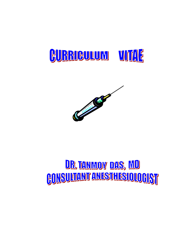



# <u>DR TANMOY DAS, MD</u> **CONSULTANT ANESTHESIOLOGIST**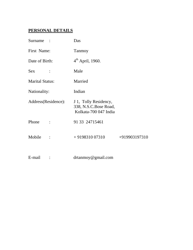# **PERSONAL DETAILS**

| Surname                | Das                                                                     |               |  |  |  |
|------------------------|-------------------------------------------------------------------------|---------------|--|--|--|
| First Name:            | Tanmoy                                                                  |               |  |  |  |
| Date of Birth:         | $4^{th}$ April, 1960.                                                   |               |  |  |  |
| Sex                    | Male                                                                    |               |  |  |  |
| <b>Marital Status:</b> | Married                                                                 |               |  |  |  |
| Nationality:           | Indian                                                                  |               |  |  |  |
| Address(Residence):    | J 1, Tolly Residency,<br>338, N.S.C.Bose Road,<br>Kolkata-700 047 India |               |  |  |  |
| Phone                  | 91 33 24715461                                                          |               |  |  |  |
| Mobile                 | $+919831007310$                                                         | +919903197310 |  |  |  |
| E-mail                 | $d$ rtanmoy@gmail.com                                                   |               |  |  |  |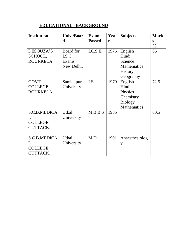## **EDUCATIONAL BACKGROUND**

| <b>Institution</b> | Univ./Boar   | <b>Exam</b>   | Yea  | <b>Subjects</b> | <b>Mark</b>   |
|--------------------|--------------|---------------|------|-----------------|---------------|
|                    | d            | <b>Passed</b> | r    |                 | S             |
|                    |              |               |      |                 | $\frac{0}{0}$ |
| DESOUZA'S          | Board for    | I.C.S.E.      | 1976 | English         | 66            |
| SCHOOL,            | I.S.C.       |               |      | Hindi           |               |
| ROURKELA.          | Exams,       |               |      | Science         |               |
|                    | New Delhi.   |               |      | Mathematics     |               |
|                    |              |               |      | <b>History</b>  |               |
|                    |              |               |      | Geography       |               |
| GOVT.              | Sambalpur    | I.Sc.         | 1979 | English         | 72.5          |
| COLLEGE,           | University   |               |      | Hindi           |               |
| ROURKELA.          |              |               |      | Physics         |               |
|                    |              |               |      | Chemistry       |               |
|                    |              |               |      | <b>Biology</b>  |               |
|                    |              |               |      | Mathematics     |               |
| S.C.B.MEDICA       | <b>Utkal</b> | M.B.B.S       | 1985 |                 | 60.5          |
| L                  | University   |               |      |                 |               |
| COLLEGE,           |              |               |      |                 |               |
| <b>CUTTACK.</b>    |              |               |      |                 |               |
|                    |              |               |      |                 |               |
| S.C.B.MEDICA       | <b>Utkal</b> | M.D.          | 1991 | Anaesthesiolog  |               |
| $\mathbf{L}$       | University   |               |      | y               |               |
| COLLEGE,           |              |               |      |                 |               |
| <b>CUTTACK.</b>    |              |               |      |                 |               |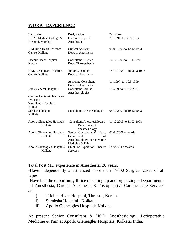## **WORK EXPERIENCE**

| <b>Institution</b><br>L.T.M. Medical College &<br>Hospital, Mumbai | <b>Designation</b><br>Lecturer, Dept. of<br>Anesthesia                                             | <b>Duration</b><br>7.5.1991 to 30.6.1993        |  |
|--------------------------------------------------------------------|----------------------------------------------------------------------------------------------------|-------------------------------------------------|--|
| <b>B.M.Birla Heart Research</b><br>Centre, Kolkata                 | Clinical Assistant,<br>Dept. of Anesthesia                                                         | 01.06.1993 to 12.12.1993                        |  |
| <b>Trichur Heart Hospital</b><br>Kerala                            | Consultant & Chief<br>Dept. Of Anesthesia                                                          | 14.12.1993 to 9.11.1994                         |  |
| B.M. Birla Heart Research<br>Centre, Kolkata                       | Junior Consultant,<br>Dept. of Anesthesia                                                          | 14.11.1994<br>to 31.3.1997                      |  |
| Ruby General Hospital;<br>Gamma Centauri Healthcare<br>Pvt. Ltd.;  | Associate Consultant,<br>Dept. of Anesthesia<br><b>Consultant Cardiac</b><br>Anesthesiologist      | 1.4.1997 to 10.5.1999.<br>10.5.99 to 07.10.2001 |  |
| Woodlands Hospital;<br>Kolkata<br>Suraksha Hospital<br>Kolkata     | <b>Consultant Anesthesiologist</b>                                                                 | 08.10.2001 to 10.12.2003                        |  |
| Apollo Gleneagles Hospitals<br>Kolkata                             | Consultant Anesthesiologist,<br>Department of<br>Anesthesiology                                    | 11.12.2003 to 31.03.2008                        |  |
| Apollo Gleneagles Hospitals<br>Kolkata                             | Senior Consultant & Head,<br>Department<br>of<br>Anesthesiology, Perioperative<br>Medicine & Pain. | 01.04.2008 onwards                              |  |
| Apollo Gleneagles Hospitals<br>Kolkata                             | Chief of Operation Theatre<br><b>Services</b>                                                      | 1/09/2011 onwards                               |  |

Total Post MD experience in Anesthesia: 20 years.

-Have independently anesthetized more than 17000 Surgical cases of all types

**-**Have had the opportunity thrice of setting up and organizing a Departments of Anesthesia, Cardiac Anesthesia & Postoperative Cardiac Care Services at:

- i) Trichur Heart Hospital, Thrissur, Kerala.
- ii) Suraksha Hospital, Kolkata.
- iii) Apollo Gleneagles Hospitals Kolkata

At present Senior Consultant & HOD Anesthesiology, Perioperative Medicine & Pain at Apollo Gleneagles Hospitals, Kolkata. India.